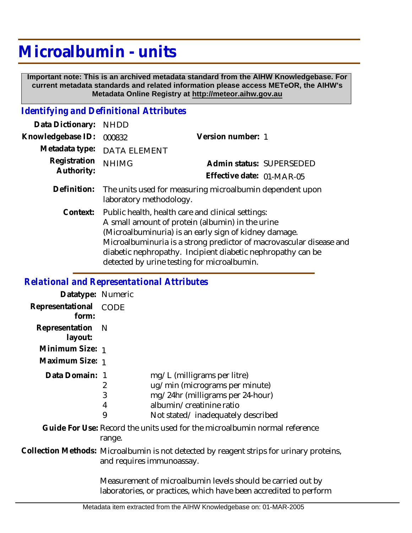## **Microalbumin - units**

 **Important note: This is an archived metadata standard from the AIHW Knowledgebase. For current metadata standards and related information please access METeOR, the AIHW's Metadata Online Registry at http://meteor.aihw.gov.au**

## *Identifying and Definitional Attributes*

| Data Dictionary:           | <b>NHDD</b>                                                                                                                                                                                                                                                                                                                                         |                           |
|----------------------------|-----------------------------------------------------------------------------------------------------------------------------------------------------------------------------------------------------------------------------------------------------------------------------------------------------------------------------------------------------|---------------------------|
| Knowledgebase ID:          | 000832                                                                                                                                                                                                                                                                                                                                              | Version number: 1         |
| Metadata type:             | <b>DATA ELEMENT</b>                                                                                                                                                                                                                                                                                                                                 |                           |
| Registration<br>Authority: | <b>NHIMG</b>                                                                                                                                                                                                                                                                                                                                        | Admin status: SUPERSEDED  |
|                            |                                                                                                                                                                                                                                                                                                                                                     | Effective date: 01-MAR-05 |
| Definition:                | The units used for measuring microalbumin dependent upon<br>laboratory methodology.                                                                                                                                                                                                                                                                 |                           |
| Context:                   | Public health, health care and clinical settings:<br>A small amount of protein (albumin) in the urine<br>(Microalbuminuria) is an early sign of kidney damage.<br>Microalbuminuria is a strong predictor of macrovascular disease and<br>diabetic nephropathy. Incipient diabetic nephropathy can be<br>detected by urine testing for microalbumin. |                           |

## *Relational and Representational Attributes*

| Datatype: Numeric         |                                                                                                                       |                                                                                                                                                                    |  |
|---------------------------|-----------------------------------------------------------------------------------------------------------------------|--------------------------------------------------------------------------------------------------------------------------------------------------------------------|--|
| Representational<br>form: | CODE                                                                                                                  |                                                                                                                                                                    |  |
| Representation<br>layout: | -N                                                                                                                    |                                                                                                                                                                    |  |
| Minimum Size: 1           |                                                                                                                       |                                                                                                                                                                    |  |
| Maximum Size: 1           |                                                                                                                       |                                                                                                                                                                    |  |
| Data Domain: 1            | 2<br>3<br>4<br>9                                                                                                      | mg/L (milligrams per litre)<br>ug/min (micrograms per minute)<br>mg/24hr (milligrams per 24-hour)<br>albumin/creatinine ratio<br>Not stated/inadequately described |  |
|                           | range.                                                                                                                | Guide For Use: Record the units used for the microalbumin normal reference                                                                                         |  |
|                           | Collection Methods: Microalbumin is not detected by reagent strips for urinary proteins,<br>and requires immunoassay. |                                                                                                                                                                    |  |
|                           |                                                                                                                       | Measurement of microalbumin levels should be carried out by<br>laboratories, or practices, which have been accredited to perform                                   |  |